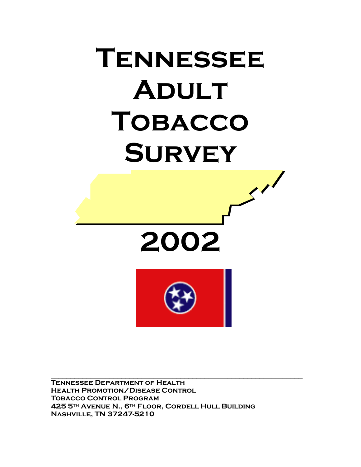# **Tennessee Adult Tobacco Survey**   $\mathcal{S}^{\prime}$





**Tennessee Department of Health Health Promotion/Disease Control Tobacco Control Program 425 5th Avenue N., 6th Floor, Cordell Hull Building Nashville, TN 37247-5210** 

 $\mathcal{L}_\text{max} = \frac{1}{2} \sum_{i=1}^{n} \frac{1}{2} \sum_{i=1}^{n} \frac{1}{2} \sum_{i=1}^{n} \frac{1}{2} \sum_{i=1}^{n} \frac{1}{2} \sum_{i=1}^{n} \frac{1}{2} \sum_{i=1}^{n} \frac{1}{2} \sum_{i=1}^{n} \frac{1}{2} \sum_{i=1}^{n} \frac{1}{2} \sum_{i=1}^{n} \frac{1}{2} \sum_{i=1}^{n} \frac{1}{2} \sum_{i=1}^{n} \frac{1}{2} \sum_{i=1}^{n} \frac{1$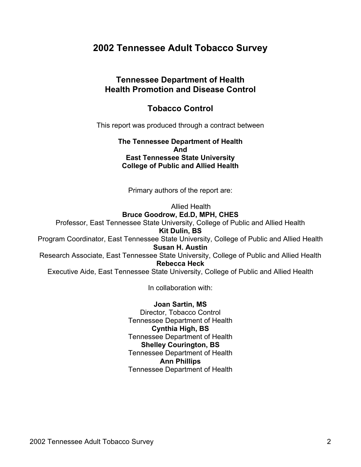# **2002 Tennessee Adult Tobacco Survey**

## **Tennessee Department of Health Health Promotion and Disease Control**

## **Tobacco Control**

This report was produced through a contract between

**The Tennessee Department of Health And East Tennessee State University College of Public and Allied Health** 

Primary authors of the report are:

Allied Health **Bruce Goodrow, Ed.D, MPH, CHES**  Professor, East Tennessee State University, College of Public and Allied Health **Kit Dulin, BS**  Program Coordinator, East Tennessee State University, College of Public and Allied Health **Susan H. Austin**  Research Associate, East Tennessee State University, College of Public and Allied Health **Rebecca Heck**  Executive Aide, East Tennessee State University, College of Public and Allied Health

In collaboration with:

**Joan Sartin, MS**  Director, Tobacco Control Tennessee Department of Health **Cynthia High, BS**  Tennessee Department of Health **Shelley Courington, BS**  Tennessee Department of Health **Ann Phillips**  Tennessee Department of Health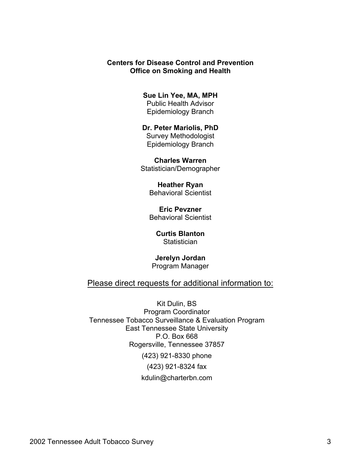#### **Centers for Disease Control and Prevention Office on Smoking and Health**

#### **Sue Lin Yee, MA, MPH**

Public Health Advisor Epidemiology Branch

#### **Dr. Peter Mariolis, PhD**  Survey Methodologist Epidemiology Branch

**Charles Warren**  Statistician/Demographer

> **Heather Ryan**  Behavioral Scientist

> **Eric Pevzner**  Behavioral Scientist

**Curtis Blanton Statistician** 

**Jerelyn Jordan**  Program Manager

#### Please direct requests for additional information to:

Kit Dulin, BS Program Coordinator Tennessee Tobacco Surveillance & Evaluation Program East Tennessee State University P.O. Box 668 Rogersville, Tennessee 37857 (423) 921-8330 phone (423) 921-8324 fax kdulin@charterbn.com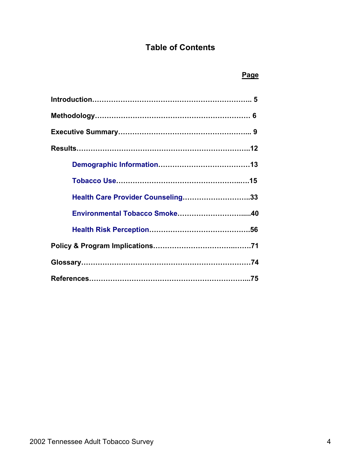# **Table of Contents**

#### *Page* Product of the Contract of the Contract of the Page

| Health Care Provider Counseling33 |  |
|-----------------------------------|--|
|                                   |  |
|                                   |  |
|                                   |  |
|                                   |  |
|                                   |  |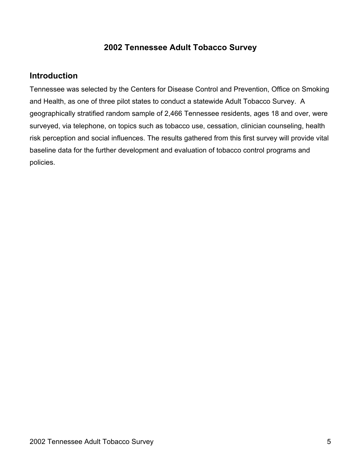# **2002 Tennessee Adult Tobacco Survey**

# **Introduction**

Tennessee was selected by the Centers for Disease Control and Prevention, Office on Smoking and Health, as one of three pilot states to conduct a statewide Adult Tobacco Survey. A geographically stratified random sample of 2,466 Tennessee residents, ages 18 and over, were surveyed, via telephone, on topics such as tobacco use, cessation, clinician counseling, health risk perception and social influences. The results gathered from this first survey will provide vital baseline data for the further development and evaluation of tobacco control programs and policies.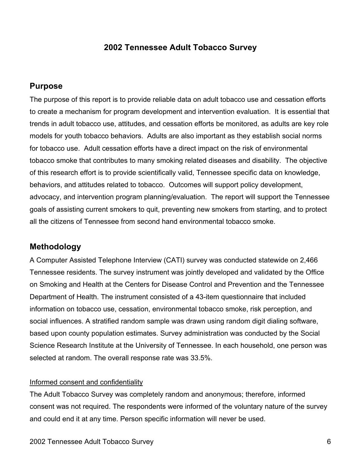## **2002 Tennessee Adult Tobacco Survey**

#### **Purpose**

The purpose of this report is to provide reliable data on adult tobacco use and cessation efforts to create a mechanism for program development and intervention evaluation. It is essential that trends in adult tobacco use, attitudes, and cessation efforts be monitored, as adults are key role models for youth tobacco behaviors. Adults are also important as they establish social norms for tobacco use. Adult cessation efforts have a direct impact on the risk of environmental tobacco smoke that contributes to many smoking related diseases and disability. The objective of this research effort is to provide scientifically valid, Tennessee specific data on knowledge, behaviors, and attitudes related to tobacco. Outcomes will support policy development, advocacy, and intervention program planning/evaluation. The report will support the Tennessee goals of assisting current smokers to quit, preventing new smokers from starting, and to protect all the citizens of Tennessee from second hand environmental tobacco smoke.

#### **Methodology**

A Computer Assisted Telephone Interview (CATI) survey was conducted statewide on 2,466 Tennessee residents. The survey instrument was jointly developed and validated by the Office on Smoking and Health at the Centers for Disease Control and Prevention and the Tennessee Department of Health. The instrument consisted of a 43-item questionnaire that included information on tobacco use, cessation, environmental tobacco smoke, risk perception, and social influences. A stratified random sample was drawn using random digit dialing software, based upon county population estimates. Survey administration was conducted by the Social Science Research Institute at the University of Tennessee. In each household, one person was selected at random. The overall response rate was 33.5%.

#### Informed consent and confidentiality

The Adult Tobacco Survey was completely random and anonymous; therefore, informed consent was not required. The respondents were informed of the voluntary nature of the survey and could end it at any time. Person specific information will never be used.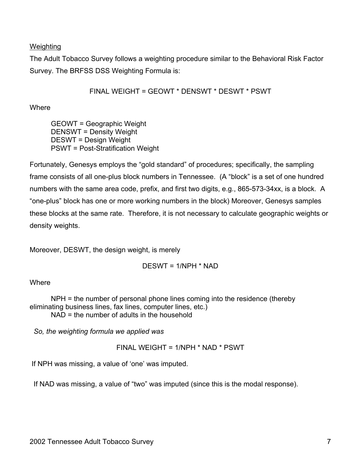#### **Weighting**

The Adult Tobacco Survey follows a weighting procedure similar to the Behavioral Risk Factor Survey. The BRFSS DSS Weighting Formula is:

FINAL WEIGHT = GEOWT \* DENSWT \* DESWT \* PSWT

**Where** 

GEOWT = Geographic Weight DENSWT = Density Weight DESWT = Design Weight PSWT = Post-Stratification Weight

Fortunately, Genesys employs the "gold standard" of procedures; specifically, the sampling frame consists of all one-plus block numbers in Tennessee. (A "block" is a set of one hundred numbers with the same area code, prefix, and first two digits, e.g., 865-573-34xx, is a block. A "one-plus" block has one or more working numbers in the block) Moreover, Genesys samples these blocks at the same rate. Therefore, it is not necessary to calculate geographic weights or density weights.

Moreover, DESWT, the design weight, is merely

DESWT = 1/NPH \* NAD

**Where** 

NPH = the number of personal phone lines coming into the residence (thereby eliminating business lines, fax lines, computer lines, etc.) NAD = the number of adults in the household

 *So, the weighting formula we applied was* 

FINAL WEIGHT = 1/NPH \* NAD \* PSWT

If NPH was missing, a value of 'one' was imputed.

If NAD was missing, a value of "two" was imputed (since this is the modal response).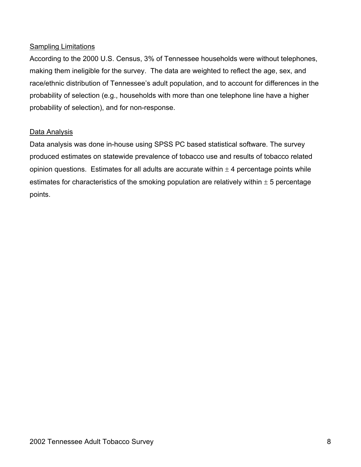#### Sampling Limitations

According to the 2000 U.S. Census, 3% of Tennessee households were without telephones, making them ineligible for the survey. The data are weighted to reflect the age, sex, and race/ethnic distribution of Tennessee's adult population, and to account for differences in the probability of selection (e.g., households with more than one telephone line have a higher probability of selection), and for non-response.

#### Data Analysis

Data analysis was done in-house using SPSS PC based statistical software. The survey produced estimates on statewide prevalence of tobacco use and results of tobacco related opinion questions. Estimates for all adults are accurate within  $\pm$  4 percentage points while estimates for characteristics of the smoking population are relatively within  $\pm$  5 percentage points.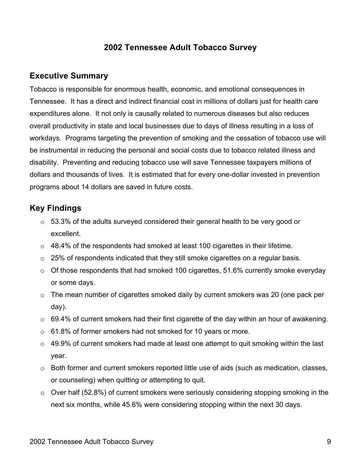# **2002 Tennessee Adult Tobacco Survey**

## **Executive Summary**

Tobacco is responsible for enormous health, economic, and emotional consequences in Tennessee. It has a direct and indirect financial cost in millions of dollars just for health care expenditures alone. It not only is causally related to numerous diseases but also reduces overall productivity in state and local businesses due to days of illness resulting in a loss of workdays. Programs targeting the prevention of smoking and the cessation of tobacco use will be instrumental in reducing the personal and social costs due to tobacco related illness and disability. Preventing and reducing tobacco use will save Tennessee taxpayers millions of dollars and thousands of lives. It is estimated that for every one-dollar invested in prevention programs about 14 dollars are saved in future costs.

# **Key Findings**

- o 53.3% of the adults surveyed considered their general health to be very good or excellent.
- $\circ$  48.4% of the respondents had smoked at least 100 cigarettes in their lifetime.
- o 25% of respondents indicated that they still smoke cigarettes on a regular basis.
- $\circ$  Of those respondents that had smoked 100 cigarettes, 51.6% currently smoke everyday or some days.
- o The mean number of cigarettes smoked daily by current smokers was 20 (one pack per day).
- o 69.4% of current smokers had their first cigarette of the day within an hour of awakening.
- o 61.8% of former smokers had not smoked for 10 years or more.
- $\circ$  49.9% of current smokers had made at least one attempt to quit smoking within the last year.
- o Both former and current smokers reported little use of aids (such as medication, classes, or counseling) when quitting or attempting to quit.
- $\circ$  Over half (52.8%) of current smokers were seriously considering stopping smoking in the next six months, while 45.6% were considering stopping within the next 30 days.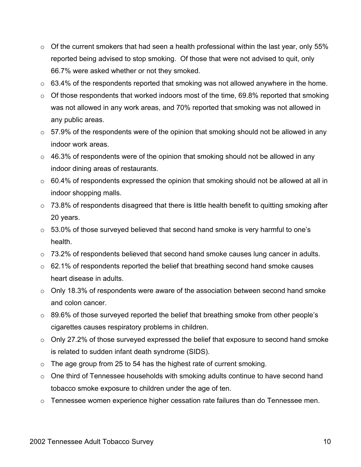- $\circ$  Of the current smokers that had seen a health professional within the last year, only 55% reported being advised to stop smoking. Of those that were not advised to quit, only 66.7% were asked whether or not they smoked.
- $\circ$  63.4% of the respondents reported that smoking was not allowed anywhere in the home.
- $\circ$  Of those respondents that worked indoors most of the time, 69.8% reported that smoking was not allowed in any work areas, and 70% reported that smoking was not allowed in any public areas.
- $\circ$  57.9% of the respondents were of the opinion that smoking should not be allowed in any indoor work areas.
- $\circ$  46.3% of respondents were of the opinion that smoking should not be allowed in any indoor dining areas of restaurants.
- $\circ$  60.4% of respondents expressed the opinion that smoking should not be allowed at all in indoor shopping malls.
- $\circ$  73.8% of respondents disagreed that there is little health benefit to quitting smoking after 20 years.
- $\circ$  53.0% of those surveyed believed that second hand smoke is very harmful to one's health.
- o 73.2% of respondents believed that second hand smoke causes lung cancer in adults.
- o 62.1% of respondents reported the belief that breathing second hand smoke causes heart disease in adults.
- o Only 18.3% of respondents were aware of the association between second hand smoke and colon cancer.
- $\circ$  89.6% of those surveyed reported the belief that breathing smoke from other people's cigarettes causes respiratory problems in children.
- o Only 27.2% of those surveyed expressed the belief that exposure to second hand smoke is related to sudden infant death syndrome (SIDS).
- o The age group from 25 to 54 has the highest rate of current smoking.
- o One third of Tennessee households with smoking adults continue to have second hand tobacco smoke exposure to children under the age of ten.
- o Tennessee women experience higher cessation rate failures than do Tennessee men.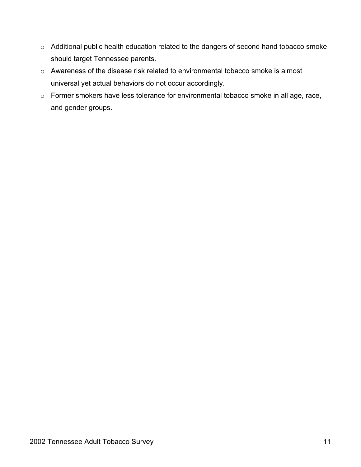- o Additional public health education related to the dangers of second hand tobacco smoke should target Tennessee parents.
- o Awareness of the disease risk related to environmental tobacco smoke is almost universal yet actual behaviors do not occur accordingly.
- o Former smokers have less tolerance for environmental tobacco smoke in all age, race, and gender groups.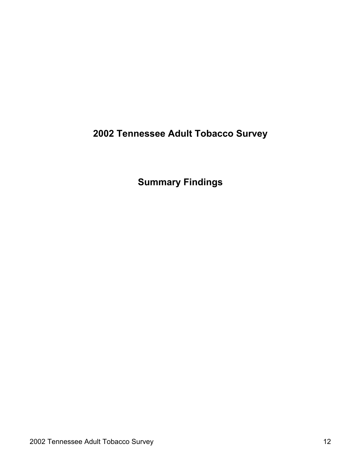**2002 Tennessee Adult Tobacco Survey** 

**Summary Findings**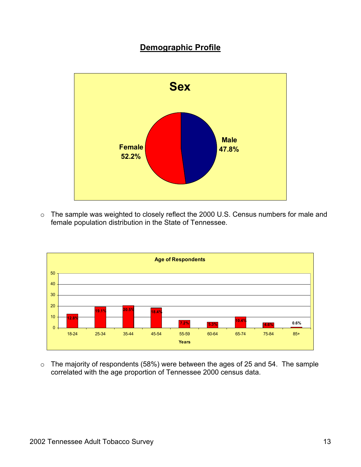# **Demographic Profile**



o The sample was weighted to closely reflect the 2000 U.S. Census numbers for male and female population distribution in the State of Tennessee.



o The majority of respondents (58%) were between the ages of 25 and 54. The sample correlated with the age proportion of Tennessee 2000 census data.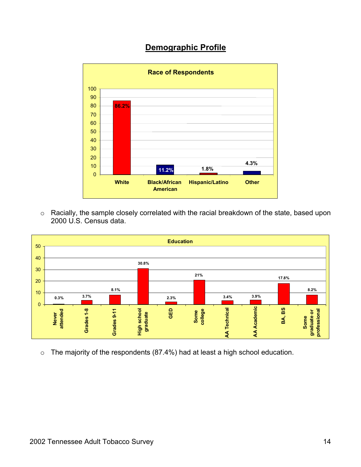# **Demographic Profile**



o Racially, the sample closely correlated with the racial breakdown of the state, based upon 2000 U.S. Census data.



o The majority of the respondents (87.4%) had at least a high school education.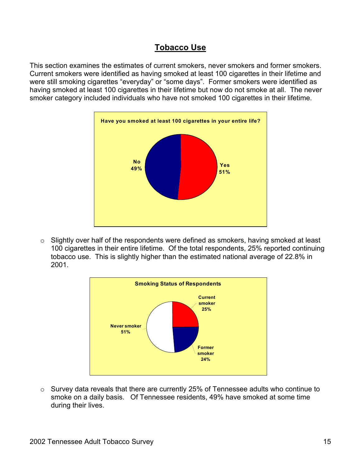This section examines the estimates of current smokers, never smokers and former smokers. Current smokers were identified as having smoked at least 100 cigarettes in their lifetime and were still smoking cigarettes "everyday" or "some days". Former smokers were identified as having smoked at least 100 cigarettes in their lifetime but now do not smoke at all. The never smoker category included individuals who have not smoked 100 cigarettes in their lifetime.



o Slightly over half of the respondents were defined as smokers, having smoked at least 100 cigarettes in their entire lifetime. Of the total respondents, 25% reported continuing tobacco use. This is slightly higher than the estimated national average of 22.8% in 2001.



o Survey data reveals that there are currently 25% of Tennessee adults who continue to smoke on a daily basis. Of Tennessee residents, 49% have smoked at some time during their lives.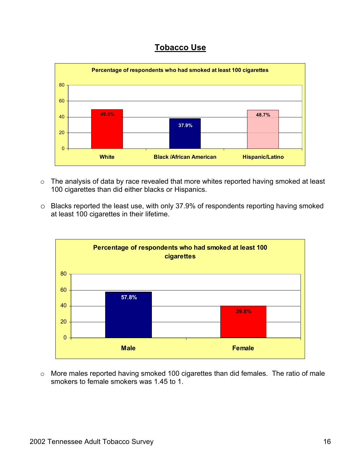

- o The analysis of data by race revealed that more whites reported having smoked at least 100 cigarettes than did either blacks or Hispanics.
- o Blacks reported the least use, with only 37.9% of respondents reporting having smoked at least 100 cigarettes in their lifetime.



o More males reported having smoked 100 cigarettes than did females. The ratio of male smokers to female smokers was 1.45 to 1.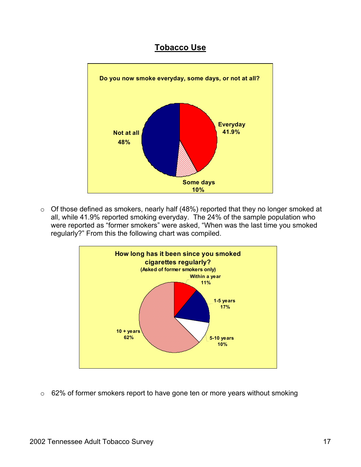

o Of those defined as smokers, nearly half (48%) reported that they no longer smoked at all, while 41.9% reported smoking everyday. The 24% of the sample population who were reported as "former smokers" were asked, "When was the last time you smoked regularly?" From this the following chart was compiled.



o 62% of former smokers report to have gone ten or more years without smoking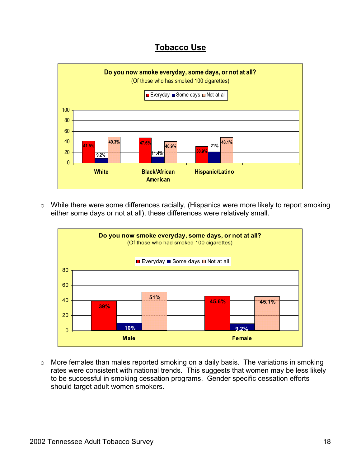

o While there were some differences racially, (Hispanics were more likely to report smoking either some days or not at all), these differences were relatively small.



o More females than males reported smoking on a daily basis. The variations in smoking rates were consistent with national trends. This suggests that women may be less likely to be successful in smoking cessation programs. Gender specific cessation efforts should target adult women smokers.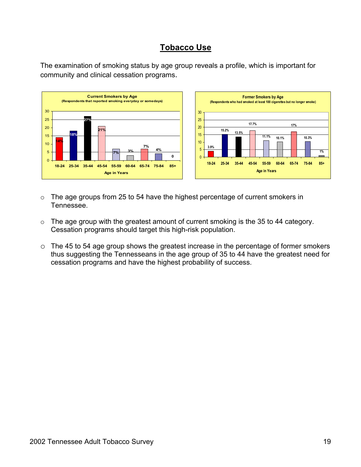The examination of smoking status by age group reveals a profile, which is important for community and clinical cessation programs.



- o The age groups from 25 to 54 have the highest percentage of current smokers in Tennessee.
- o The age group with the greatest amount of current smoking is the 35 to 44 category. Cessation programs should target this high-risk population.
- o The 45 to 54 age group shows the greatest increase in the percentage of former smokers thus suggesting the Tennesseans in the age group of 35 to 44 have the greatest need for cessation programs and have the highest probability of success.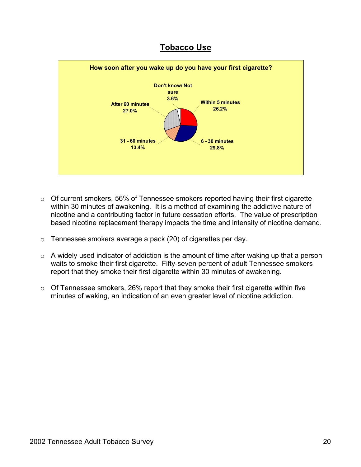



- o Of current smokers, 56% of Tennessee smokers reported having their first cigarette within 30 minutes of awakening. It is a method of examining the addictive nature of nicotine and a contributing factor in future cessation efforts. The value of prescription based nicotine replacement therapy impacts the time and intensity of nicotine demand.
- o Tennessee smokers average a pack (20) of cigarettes per day.
- o A widely used indicator of addiction is the amount of time after waking up that a person waits to smoke their first cigarette. Fifty-seven percent of adult Tennessee smokers report that they smoke their first cigarette within 30 minutes of awakening.
- o Of Tennessee smokers, 26% report that they smoke their first cigarette within five minutes of waking, an indication of an even greater level of nicotine addiction.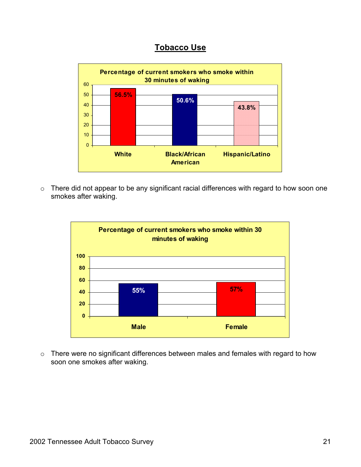

o There did not appear to be any significant racial differences with regard to how soon one smokes after waking.



o There were no significant differences between males and females with regard to how soon one smokes after waking.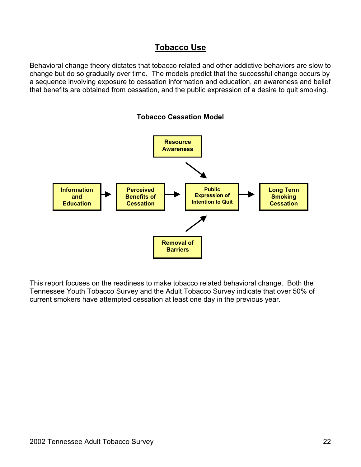Behavioral change theory dictates that tobacco related and other addictive behaviors are slow to change but do so gradually over time. The models predict that the successful change occurs by a sequence involving exposure to cessation information and education, an awareness and belief that benefits are obtained from cessation, and the public expression of a desire to quit smoking.



This report focuses on the readiness to make tobacco related behavioral change. Both the Tennessee Youth Tobacco Survey and the Adult Tobacco Survey indicate that over 50% of current smokers have attempted cessation at least one day in the previous year.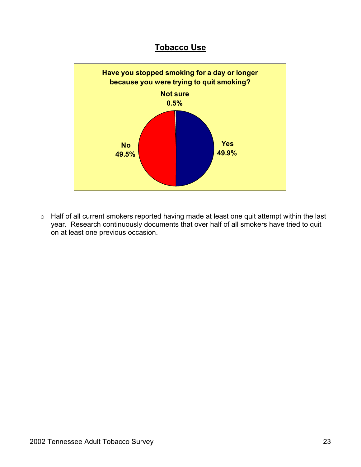

o Half of all current smokers reported having made at least one quit attempt within the last year. Research continuously documents that over half of all smokers have tried to quit on at least one previous occasion.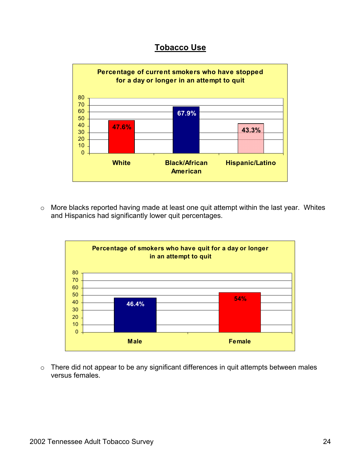

o More blacks reported having made at least one quit attempt within the last year. Whites and Hispanics had significantly lower quit percentages.



o There did not appear to be any significant differences in quit attempts between males versus females.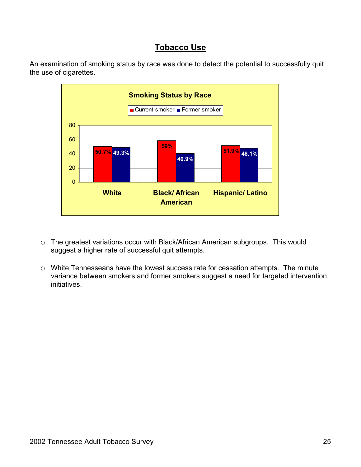



- o The greatest variations occur with Black/African American subgroups. This would suggest a higher rate of successful quit attempts.
- o White Tennesseans have the lowest success rate for cessation attempts. The minute variance between smokers and former smokers suggest a need for targeted intervention initiatives.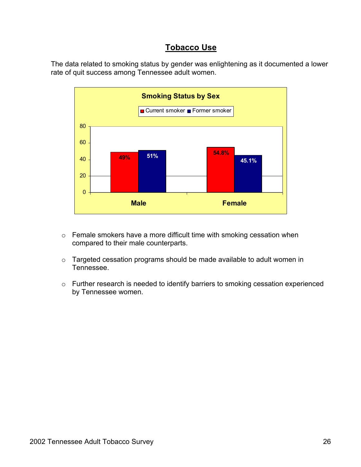The data related to smoking status by gender was enlightening as it documented a lower rate of quit success among Tennessee adult women.



- o Female smokers have a more difficult time with smoking cessation when compared to their male counterparts.
- o Targeted cessation programs should be made available to adult women in Tennessee.
- o Further research is needed to identify barriers to smoking cessation experienced by Tennessee women.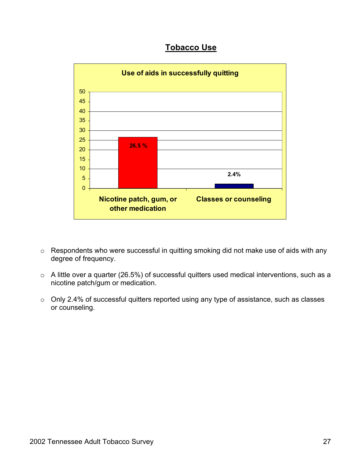

- o Respondents who were successful in quitting smoking did not make use of aids with any degree of frequency.
- o A little over a quarter (26.5%) of successful quitters used medical interventions, such as a nicotine patch/gum or medication.
- o Only 2.4% of successful quitters reported using any type of assistance, such as classes or counseling.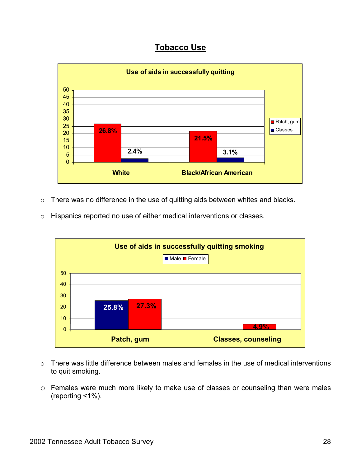

- o There was no difference in the use of quitting aids between whites and blacks.
- o Hispanics reported no use of either medical interventions or classes.



- o There was little difference between males and females in the use of medical interventions to quit smoking.
- o Females were much more likely to make use of classes or counseling than were males (reporting <1%).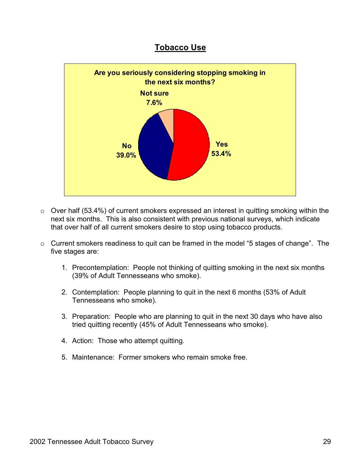

- o Over half (53.4%) of current smokers expressed an interest in quitting smoking within the next six months. This is also consistent with previous national surveys, which indicate that over half of all current smokers desire to stop using tobacco products.
- o Current smokers readiness to quit can be framed in the model "5 stages of change". The five stages are:
	- 1. Precontemplation: People not thinking of quitting smoking in the next six months (39% of Adult Tennesseans who smoke).
	- 2. Contemplation: People planning to quit in the next 6 months (53% of Adult Tennesseans who smoke).
	- 3. Preparation: People who are planning to quit in the next 30 days who have also tried quitting recently (45% of Adult Tennesseans who smoke).
	- 4. Action: Those who attempt quitting.
	- 5. Maintenance: Former smokers who remain smoke free.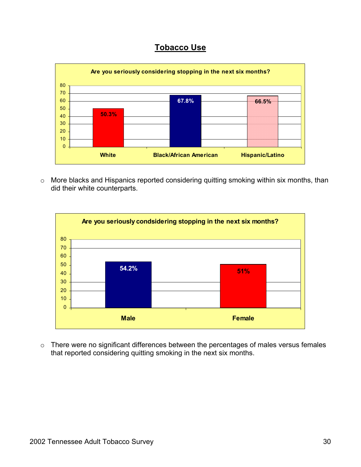

o More blacks and Hispanics reported considering quitting smoking within six months, than did their white counterparts.



o There were no significant differences between the percentages of males versus females that reported considering quitting smoking in the next six months.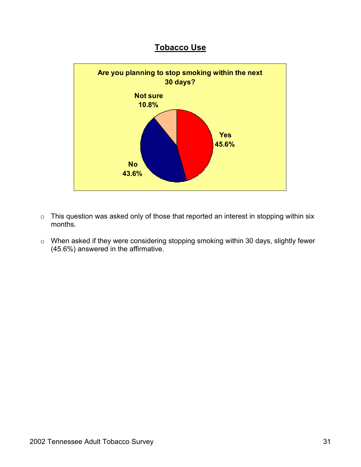

- o This question was asked only of those that reported an interest in stopping within six months.
- o When asked if they were considering stopping smoking within 30 days, slightly fewer (45.6%) answered in the affirmative.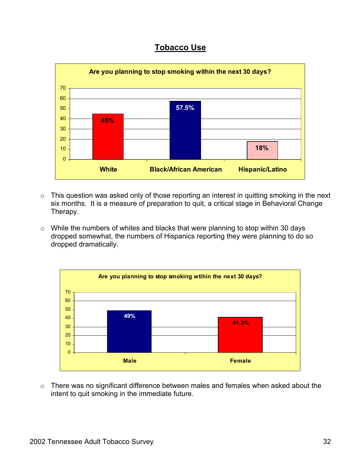

- o This question was asked only of those reporting an interest in quitting smoking in the next six months. It is a measure of preparation to quit, a critical stage in Behavioral Change Therapy.
- o While the numbers of whites and blacks that were planning to stop within 30 days dropped somewhat, the numbers of Hispanics reporting they were planning to do so dropped dramatically.



o There was no significant difference between males and females when asked about the intent to quit smoking in the immediate future.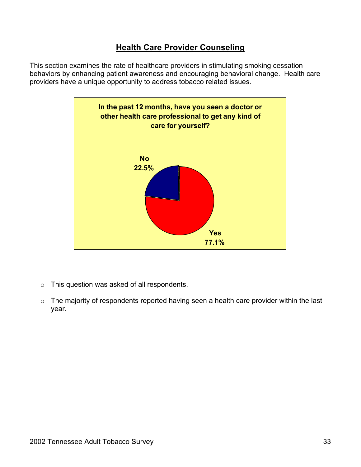This section examines the rate of healthcare providers in stimulating smoking cessation behaviors by enhancing patient awareness and encouraging behavioral change. Health care providers have a unique opportunity to address tobacco related issues.



- o This question was asked of all respondents.
- o The majority of respondents reported having seen a health care provider within the last year.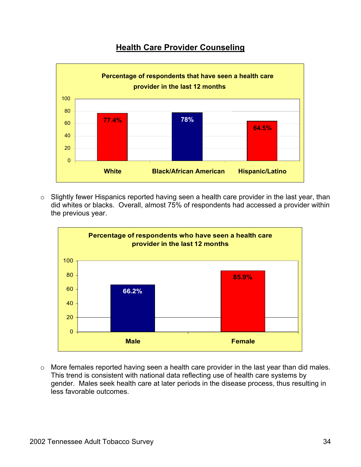

o Slightly fewer Hispanics reported having seen a health care provider in the last year, than did whites or blacks. Overall, almost 75% of respondents had accessed a provider within the previous year.



o More females reported having seen a health care provider in the last year than did males. This trend is consistent with national data reflecting use of health care systems by gender. Males seek health care at later periods in the disease process, thus resulting in less favorable outcomes.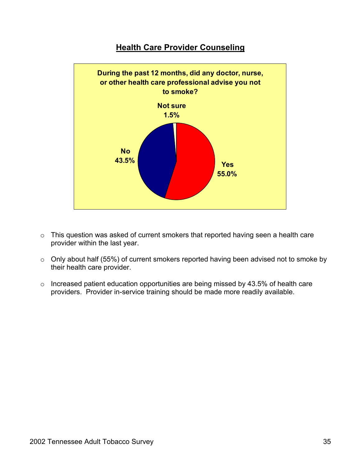

- o This question was asked of current smokers that reported having seen a health care provider within the last year.
- o Only about half (55%) of current smokers reported having been advised not to smoke by their health care provider.
- o Increased patient education opportunities are being missed by 43.5% of health care providers. Provider in-service training should be made more readily available.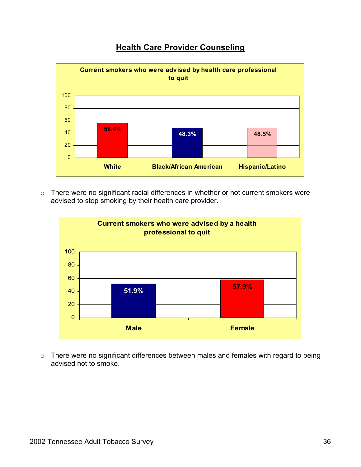

o There were no significant racial differences in whether or not current smokers were advised to stop smoking by their health care provider.



o There were no significant differences between males and females with regard to being advised not to smoke.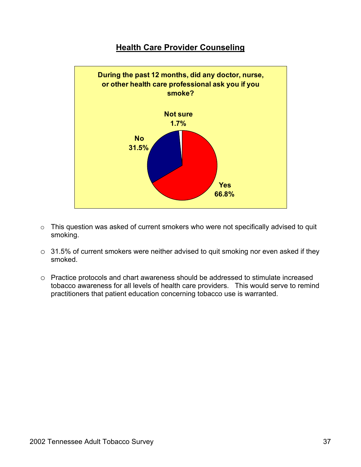#### **Health Care Provider Counseling**



- o This question was asked of current smokers who were not specifically advised to quit smoking.
- o 31.5% of current smokers were neither advised to quit smoking nor even asked if they smoked.
- o Practice protocols and chart awareness should be addressed to stimulate increased tobacco awareness for all levels of health care providers. This would serve to remind practitioners that patient education concerning tobacco use is warranted.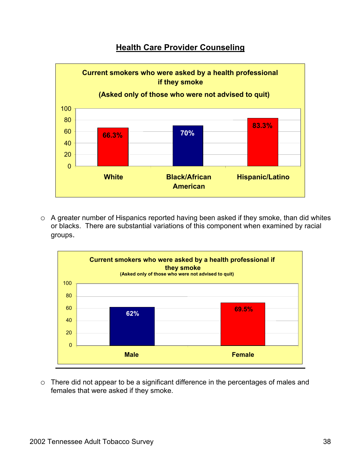## **Health Care Provider Counseling**



o A greater number of Hispanics reported having been asked if they smoke, than did whites or blacks. There are substantial variations of this component when examined by racial groups.



o There did not appear to be a significant difference in the percentages of males and females that were asked if they smoke.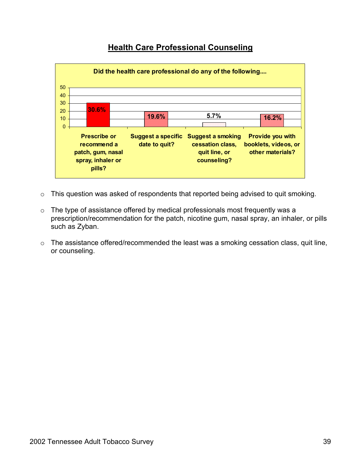# **Health Care Professional Counseling**



- o This question was asked of respondents that reported being advised to quit smoking.
- o The type of assistance offered by medical professionals most frequently was a prescription/recommendation for the patch, nicotine gum, nasal spray, an inhaler, or pills such as Zyban.
- o The assistance offered/recommended the least was a smoking cessation class, quit line, or counseling.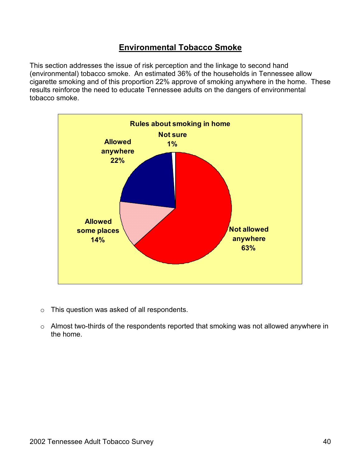This section addresses the issue of risk perception and the linkage to second hand (environmental) tobacco smoke. An estimated 36% of the households in Tennessee allow cigarette smoking and of this proportion 22% approve of smoking anywhere in the home. These results reinforce the need to educate Tennessee adults on the dangers of environmental tobacco smoke.



- o This question was asked of all respondents.
- o Almost two-thirds of the respondents reported that smoking was not allowed anywhere in the home.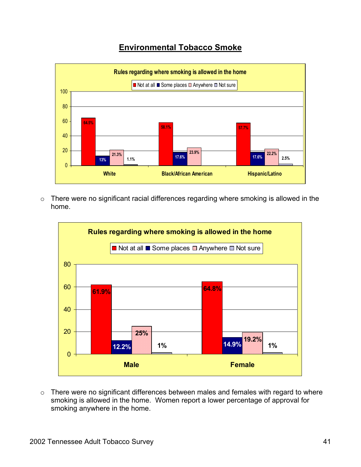

o There were no significant racial differences regarding where smoking is allowed in the home.



o There were no significant differences between males and females with regard to where smoking is allowed in the home. Women report a lower percentage of approval for smoking anywhere in the home.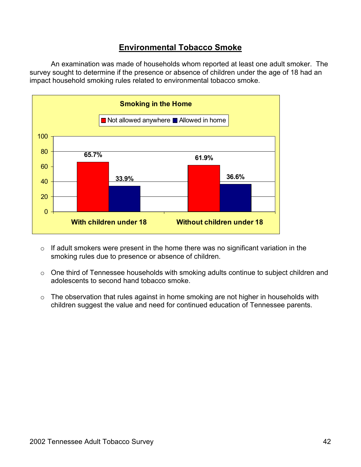An examination was made of households whom reported at least one adult smoker. The survey sought to determine if the presence or absence of children under the age of 18 had an impact household smoking rules related to environmental tobacco smoke.



- $\circ$  If adult smokers were present in the home there was no significant variation in the smoking rules due to presence or absence of children.
- o One third of Tennessee households with smoking adults continue to subject children and adolescents to second hand tobacco smoke.
- o The observation that rules against in home smoking are not higher in households with children suggest the value and need for continued education of Tennessee parents.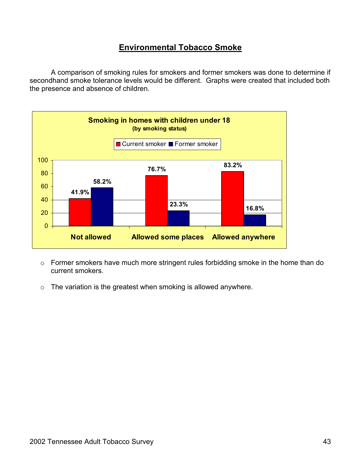A comparison of smoking rules for smokers and former smokers was done to determine if secondhand smoke tolerance levels would be different. Graphs were created that included both the presence and absence of children.



- o Former smokers have much more stringent rules forbidding smoke in the home than do current smokers.
- o The variation is the greatest when smoking is allowed anywhere.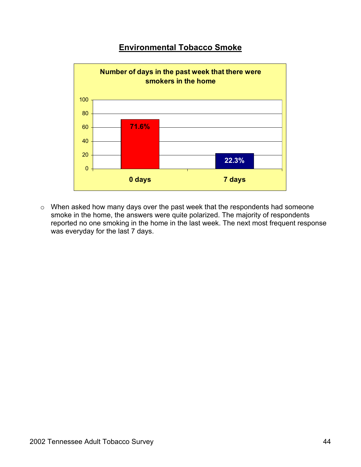

o When asked how many days over the past week that the respondents had someone smoke in the home, the answers were quite polarized. The majority of respondents reported no one smoking in the home in the last week. The next most frequent response was everyday for the last 7 days.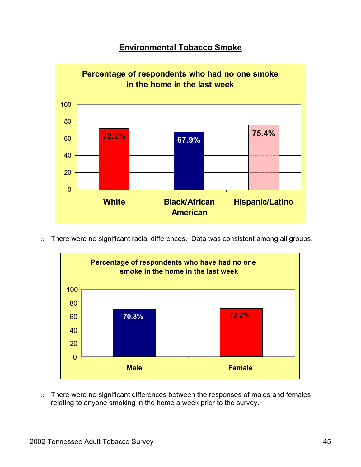

o There were no significant racial differences. Data was consistent among all groups.



o There were no significant differences between the responses of males and females relating to anyone smoking in the home a week prior to the survey.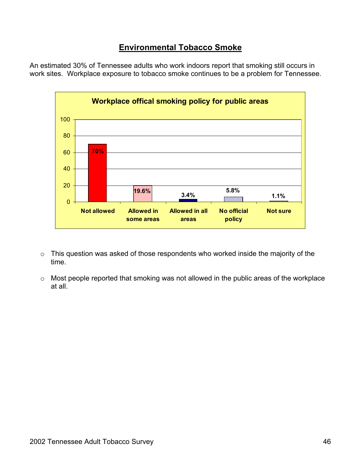An estimated 30% of Tennessee adults who work indoors report that smoking still occurs in work sites. Workplace exposure to tobacco smoke continues to be a problem for Tennessee.



- o This question was asked of those respondents who worked inside the majority of the time.
- o Most people reported that smoking was not allowed in the public areas of the workplace at all.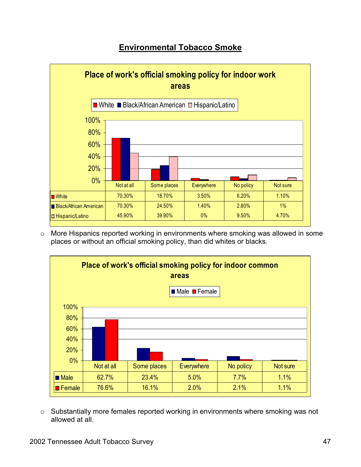

o More Hispanics reported working in environments where smoking was allowed in some places or without an official smoking policy, than did whites or blacks.



o Substantially more females reported working in environments where smoking was not allowed at all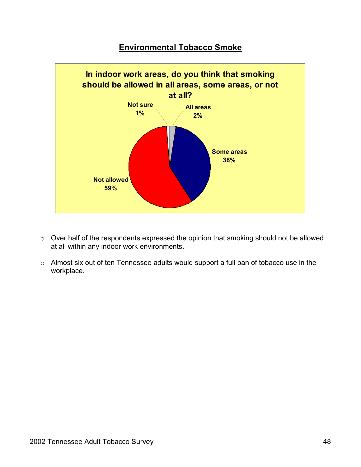

- o Over half of the respondents expressed the opinion that smoking should not be allowed at all within any indoor work environments.
- o Almost six out of ten Tennessee adults would support a full ban of tobacco use in the workplace.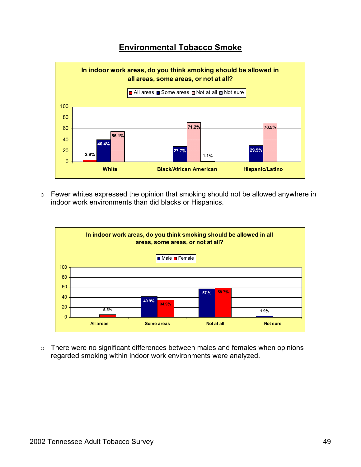

o Fewer whites expressed the opinion that smoking should not be allowed anywhere in indoor work environments than did blacks or Hispanics.



o There were no significant differences between males and females when opinions regarded smoking within indoor work environments were analyzed.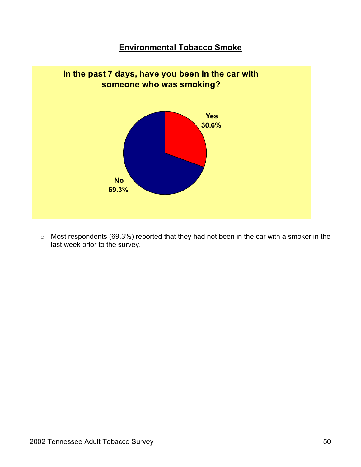

o Most respondents (69.3%) reported that they had not been in the car with a smoker in the last week prior to the survey.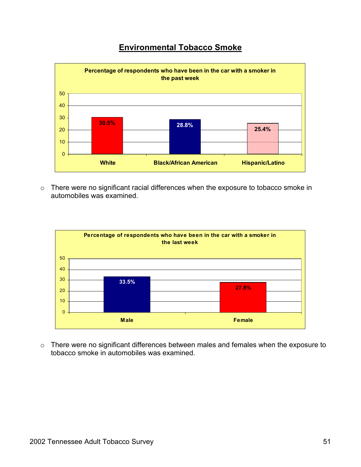

o There were no significant racial differences when the exposure to tobacco smoke in automobiles was examined.



o There were no significant differences between males and females when the exposure to tobacco smoke in automobiles was examined.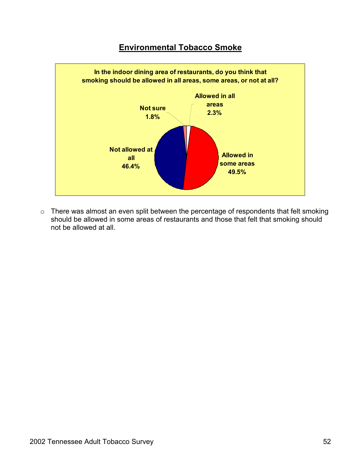

o There was almost an even split between the percentage of respondents that felt smoking should be allowed in some areas of restaurants and those that felt that smoking should not be allowed at all.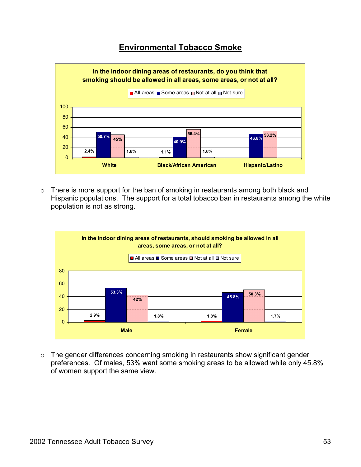

o There is more support for the ban of smoking in restaurants among both black and Hispanic populations. The support for a total tobacco ban in restaurants among the white population is not as strong.



o The gender differences concerning smoking in restaurants show significant gender preferences. Of males, 53% want some smoking areas to be allowed while only 45.8% of women support the same view.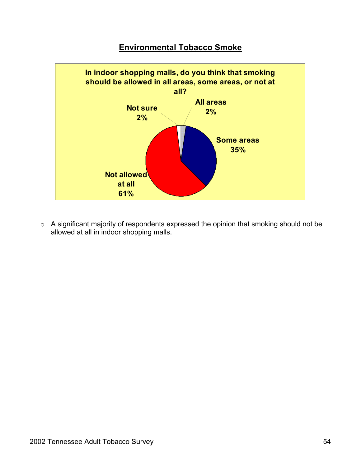

o A significant majority of respondents expressed the opinion that smoking should not be allowed at all in indoor shopping malls.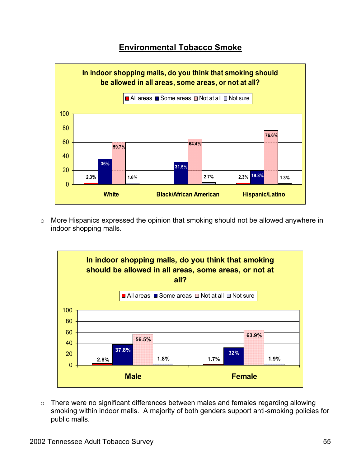

o More Hispanics expressed the opinion that smoking should not be allowed anywhere in indoor shopping malls.



o There were no significant differences between males and females regarding allowing smoking within indoor malls. A majority of both genders support anti-smoking policies for public malls.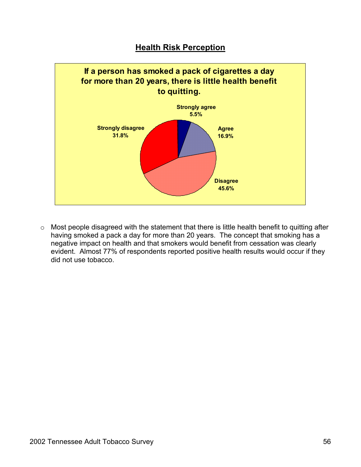

o Most people disagreed with the statement that there is little health benefit to quitting after having smoked a pack a day for more than 20 years. The concept that smoking has a negative impact on health and that smokers would benefit from cessation was clearly evident. Almost 77% of respondents reported positive health results would occur if they did not use tobacco.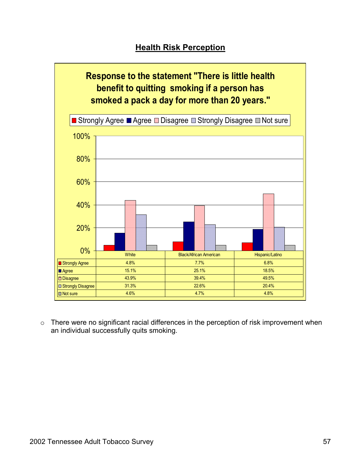

o There were no significant racial differences in the perception of risk improvement when an individual successfully quits smoking.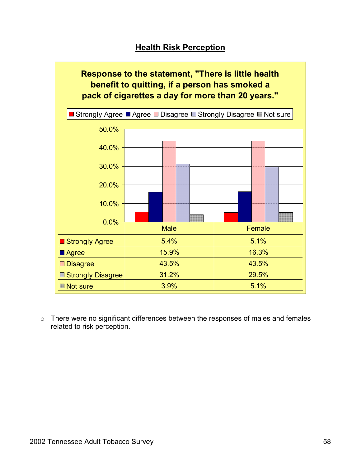

o There were no significant differences between the responses of males and females related to risk perception.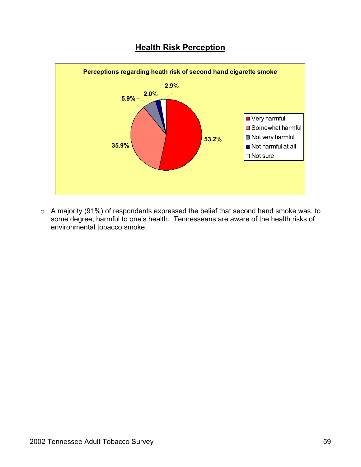



o A majority (91%) of respondents expressed the belief that second hand smoke was, to some degree, harmful to one's health. Tennesseans are aware of the health risks of environmental tobacco smoke.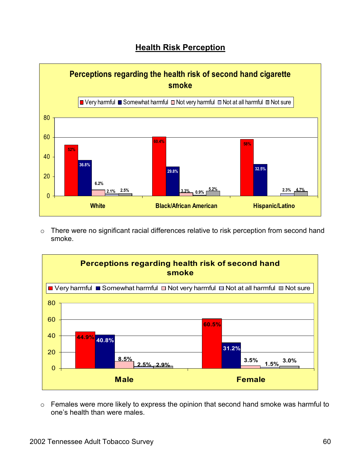

o There were no significant racial differences relative to risk perception from second hand smoke.



o Females were more likely to express the opinion that second hand smoke was harmful to one's health than were males.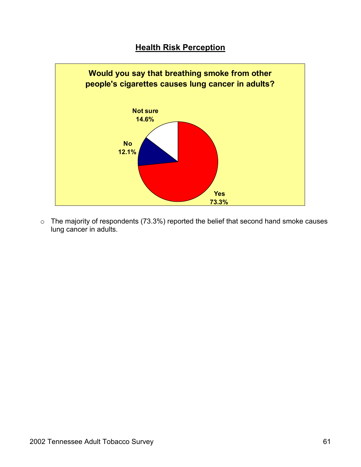

o The majority of respondents (73.3%) reported the belief that second hand smoke causes lung cancer in adults.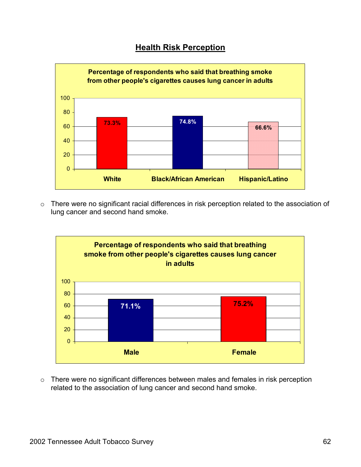

o There were no significant racial differences in risk perception related to the association of lung cancer and second hand smoke.



o There were no significant differences between males and females in risk perception related to the association of lung cancer and second hand smoke.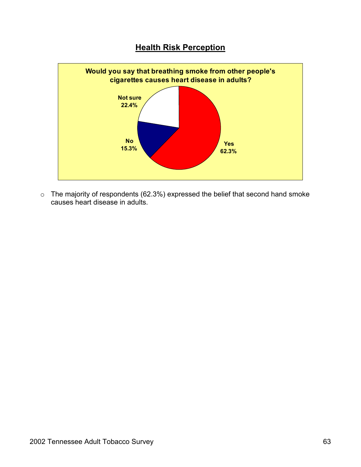

 $\circ$  The majority of respondents (62.3%) expressed the belief that second hand smoke causes heart disease in adults.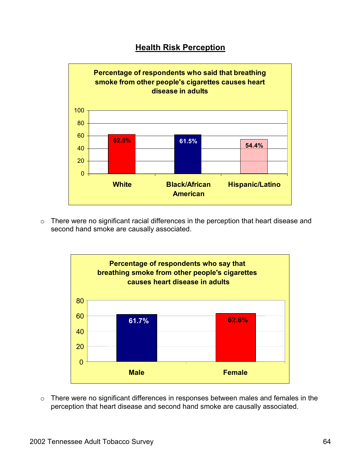

o There were no significant racial differences in the perception that heart disease and second hand smoke are causally associated.



o There were no significant differences in responses between males and females in the perception that heart disease and second hand smoke are causally associated.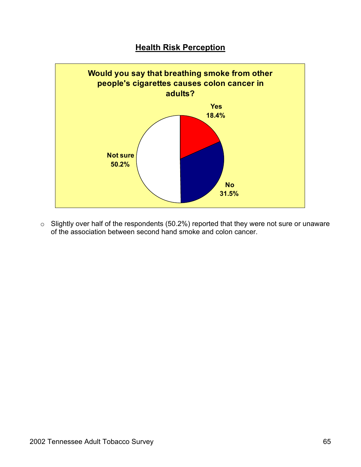

o Slightly over half of the respondents (50.2%) reported that they were not sure or unaware of the association between second hand smoke and colon cancer.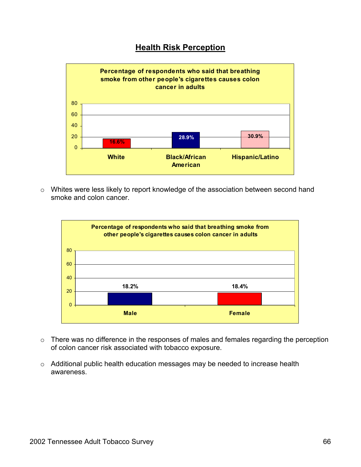

o Whites were less likely to report knowledge of the association between second hand smoke and colon cancer.



- o There was no difference in the responses of males and females regarding the perception of colon cancer risk associated with tobacco exposure.
- o Additional public health education messages may be needed to increase health awareness.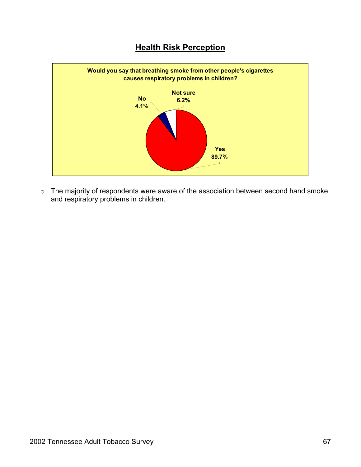

o The majority of respondents were aware of the association between second hand smoke and respiratory problems in children.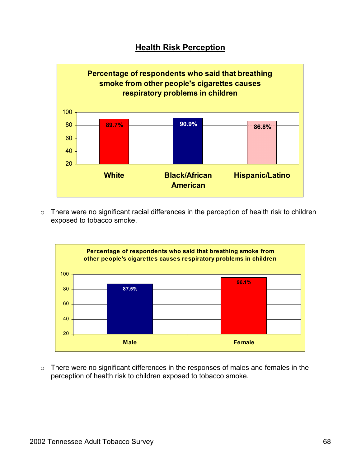

o There were no significant racial differences in the perception of health risk to children exposed to tobacco smoke.



o There were no significant differences in the responses of males and females in the perception of health risk to children exposed to tobacco smoke.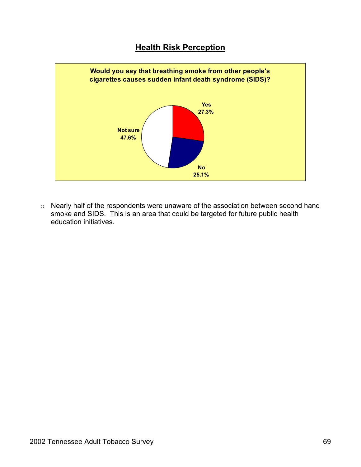

o Nearly half of the respondents were unaware of the association between second hand smoke and SIDS. This is an area that could be targeted for future public health education initiatives.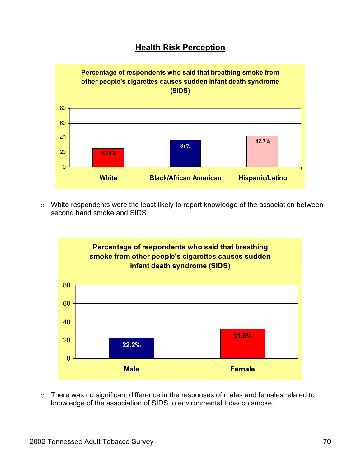

o White respondents were the least likely to report knowledge of the association between second hand smoke and SIDS.



o There was no significant difference in the responses of males and females related to knowledge of the association of SIDS to environmental tobacco smoke.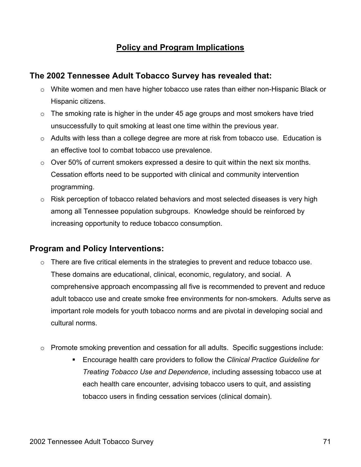# **Policy and Program Implications**

# **The 2002 Tennessee Adult Tobacco Survey has revealed that:**

- $\circ$  White women and men have higher tobacco use rates than either non-Hispanic Black or Hispanic citizens.
- o The smoking rate is higher in the under 45 age groups and most smokers have tried unsuccessfully to quit smoking at least one time within the previous year.
- $\circ$  Adults with less than a college degree are more at risk from tobacco use. Education is an effective tool to combat tobacco use prevalence.
- $\circ$  Over 50% of current smokers expressed a desire to quit within the next six months. Cessation efforts need to be supported with clinical and community intervention programming.
- $\circ$  Risk perception of tobacco related behaviors and most selected diseases is very high among all Tennessee population subgroups. Knowledge should be reinforced by increasing opportunity to reduce tobacco consumption.

# **Program and Policy Interventions:**

- $\circ$  There are five critical elements in the strategies to prevent and reduce tobacco use. These domains are educational, clinical, economic, regulatory, and social. A comprehensive approach encompassing all five is recommended to prevent and reduce adult tobacco use and create smoke free environments for non-smokers. Adults serve as important role models for youth tobacco norms and are pivotal in developing social and cultural norms.
- o Promote smoking prevention and cessation for all adults. Specific suggestions include:
	- Encourage health care providers to follow the *Clinical Practice Guideline for Treating Tobacco Use and Dependence*, including assessing tobacco use at each health care encounter, advising tobacco users to quit, and assisting tobacco users in finding cessation services (clinical domain).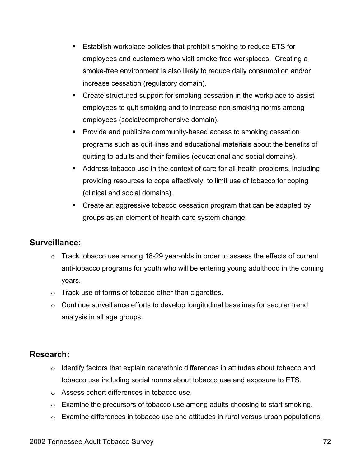- Establish workplace policies that prohibit smoking to reduce ETS for employees and customers who visit smoke-free workplaces. Creating a smoke-free environment is also likely to reduce daily consumption and/or increase cessation (regulatory domain).
- Create structured support for smoking cessation in the workplace to assist employees to quit smoking and to increase non-smoking norms among employees (social/comprehensive domain).
- **Provide and publicize community-based access to smoking cessation** programs such as quit lines and educational materials about the benefits of quitting to adults and their families (educational and social domains).
- Address tobacco use in the context of care for all health problems, including providing resources to cope effectively, to limit use of tobacco for coping (clinical and social domains).
- Create an aggressive tobacco cessation program that can be adapted by groups as an element of health care system change.

#### **Surveillance:**

- o Track tobacco use among 18-29 year-olds in order to assess the effects of current anti-tobacco programs for youth who will be entering young adulthood in the coming years.
- o Track use of forms of tobacco other than cigarettes.
- o Continue surveillance efforts to develop longitudinal baselines for secular trend analysis in all age groups.

#### **Research:**

- o Identify factors that explain race/ethnic differences in attitudes about tobacco and tobacco use including social norms about tobacco use and exposure to ETS.
- o Assess cohort differences in tobacco use.
- o Examine the precursors of tobacco use among adults choosing to start smoking.
- $\circ$  Examine differences in tobacco use and attitudes in rural versus urban populations.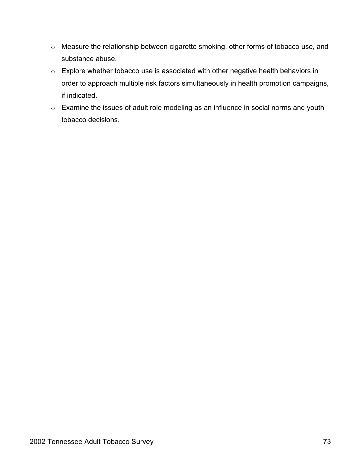- o Measure the relationship between cigarette smoking, other forms of tobacco use, and substance abuse.
- o Explore whether tobacco use is associated with other negative health behaviors in order to approach multiple risk factors simultaneously in health promotion campaigns, if indicated.
- o Examine the issues of adult role modeling as an influence in social norms and youth tobacco decisions.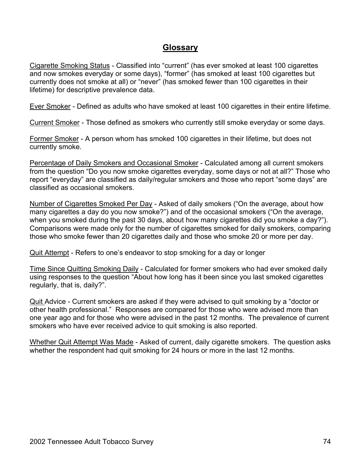## **Glossary**

Cigarette Smoking Status - Classified into "current" (has ever smoked at least 100 cigarettes and now smokes everyday or some days), "former" (has smoked at least 100 cigarettes but currently does not smoke at all) or "never" (has smoked fewer than 100 cigarettes in their lifetime) for descriptive prevalence data.

Ever Smoker - Defined as adults who have smoked at least 100 cigarettes in their entire lifetime.

Current Smoker - Those defined as smokers who currently still smoke everyday or some days.

Former Smoker - A person whom has smoked 100 cigarettes in their lifetime, but does not currently smoke.

Percentage of Daily Smokers and Occasional Smoker - Calculated among all current smokers from the question "Do you now smoke cigarettes everyday, some days or not at all?" Those who report "everyday" are classified as daily/regular smokers and those who report "some days" are classified as occasional smokers.

Number of Cigarettes Smoked Per Day - Asked of daily smokers ("On the average, about how many cigarettes a day do you now smoke?") and of the occasional smokers ("On the average, when you smoked during the past 30 days, about how many cigarettes did you smoke a day?"). Comparisons were made only for the number of cigarettes smoked for daily smokers, comparing those who smoke fewer than 20 cigarettes daily and those who smoke 20 or more per day.

Quit Attempt - Refers to one's endeavor to stop smoking for a day or longer

Time Since Quitting Smoking Daily - Calculated for former smokers who had ever smoked daily using responses to the question "About how long has it been since you last smoked cigarettes regularly, that is, daily?".

Quit Advice - Current smokers are asked if they were advised to quit smoking by a "doctor or other health professional." Responses are compared for those who were advised more than one year ago and for those who were advised in the past 12 months. The prevalence of current smokers who have ever received advice to quit smoking is also reported.

Whether Quit Attempt Was Made - Asked of current, daily cigarette smokers. The question asks whether the respondent had quit smoking for 24 hours or more in the last 12 months.